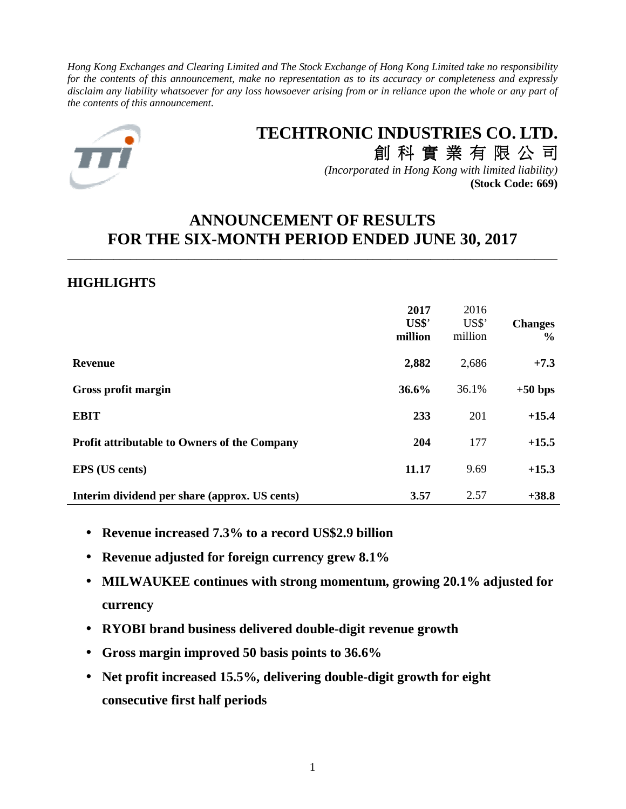*Hong Kong Exchanges and Clearing Limited and The Stock Exchange of Hong Kong Limited take no responsibility for the contents of this announcement, make no representation as to its accuracy or completeness and expressly disclaim any liability whatsoever for any loss howsoever arising from or in reliance upon the whole or any part of the contents of this announcement.* 



# **TECHTRONIC INDUSTRIES CO. LTD.**

創 科 實 業 有 限 公 司 *(Incorporated in Hong Kong with limited liability)* **(Stock Code: 669)**

# **ANNOUNCEMENT OF RESULTS FOR THE SIX-MONTH PERIOD ENDED JUNE 30, 2017**

\_\_\_\_\_\_\_\_\_\_\_\_\_\_\_\_\_\_\_\_\_\_\_\_\_\_\_\_\_\_\_\_\_\_\_\_\_\_\_\_\_\_\_\_\_\_\_\_\_\_\_\_\_\_\_\_\_\_\_\_\_\_\_\_\_\_\_\_\_\_\_\_\_\_\_\_\_\_\_\_\_\_\_\_\_

# **HIGHLIGHTS**

|                                                     | 2017<br>US\$'<br>million | 2016<br>US\$'<br>million | <b>Changes</b><br>$\frac{0}{0}$ |
|-----------------------------------------------------|--------------------------|--------------------------|---------------------------------|
| <b>Revenue</b>                                      | 2,882                    | 2,686                    | $+7.3$                          |
| Gross profit margin                                 | 36.6%                    | 36.1%                    | $+50$ bps                       |
| <b>EBIT</b>                                         | 233                      | 201                      | $+15.4$                         |
| <b>Profit attributable to Owners of the Company</b> | 204                      | 177                      | $+15.5$                         |
| <b>EPS</b> (US cents)                               | 11.17                    | 9.69                     | $+15.3$                         |
| Interim dividend per share (approx. US cents)       | 3.57                     | 2.57                     | $+38.8$                         |

- **Revenue increased 7.3% to a record US\$2.9 billion**
- **Revenue adjusted for foreign currency grew 8.1%**
- **MILWAUKEE continues with strong momentum, growing 20.1% adjusted for currency**
- **RYOBI brand business delivered double-digit revenue growth**
- **Gross margin improved 50 basis points to 36.6%**
- **Net profit increased 15.5%, delivering double-digit growth for eight consecutive first half periods**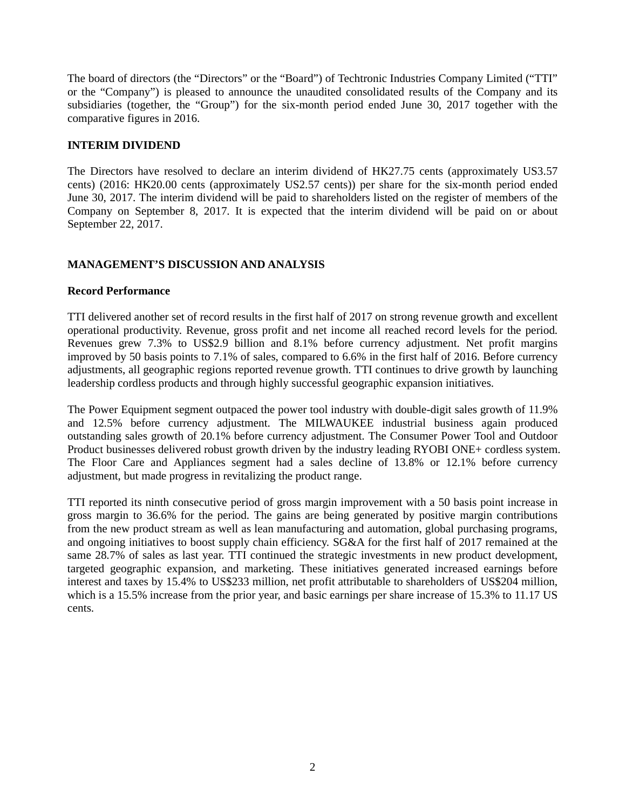The board of directors (the "Directors" or the "Board") of Techtronic Industries Company Limited ("TTI" or the "Company") is pleased to announce the unaudited consolidated results of the Company and its subsidiaries (together, the "Group") for the six-month period ended June 30, 2017 together with the comparative figures in 2016.

# **INTERIM DIVIDEND**

The Directors have resolved to declare an interim dividend of HK27.75 cents (approximately US3.57 cents) (2016: HK20.00 cents (approximately US2.57 cents)) per share for the six-month period ended June 30, 2017. The interim dividend will be paid to shareholders listed on the register of members of the Company on September 8, 2017. It is expected that the interim dividend will be paid on or about September 22, 2017.

# **MANAGEMENT'S DISCUSSION AND ANALYSIS**

# **Record Performance**

TTI delivered another set of record results in the first half of 2017 on strong revenue growth and excellent operational productivity. Revenue, gross profit and net income all reached record levels for the period. Revenues grew 7.3% to US\$2.9 billion and 8.1% before currency adjustment. Net profit margins improved by 50 basis points to 7.1% of sales, compared to 6.6% in the first half of 2016. Before currency adjustments, all geographic regions reported revenue growth. TTI continues to drive growth by launching leadership cordless products and through highly successful geographic expansion initiatives.

The Power Equipment segment outpaced the power tool industry with double-digit sales growth of 11.9% and 12.5% before currency adjustment. The MILWAUKEE industrial business again produced outstanding sales growth of 20.1% before currency adjustment. The Consumer Power Tool and Outdoor Product businesses delivered robust growth driven by the industry leading RYOBI ONE+ cordless system. The Floor Care and Appliances segment had a sales decline of 13.8% or 12.1% before currency adjustment, but made progress in revitalizing the product range.

TTI reported its ninth consecutive period of gross margin improvement with a 50 basis point increase in gross margin to 36.6% for the period. The gains are being generated by positive margin contributions from the new product stream as well as lean manufacturing and automation, global purchasing programs, and ongoing initiatives to boost supply chain efficiency. SG&A for the first half of 2017 remained at the same 28.7% of sales as last year. TTI continued the strategic investments in new product development, targeted geographic expansion, and marketing. These initiatives generated increased earnings before interest and taxes by 15.4% to US\$233 million, net profit attributable to shareholders of US\$204 million, which is a 15.5% increase from the prior year, and basic earnings per share increase of 15.3% to 11.17 US cents.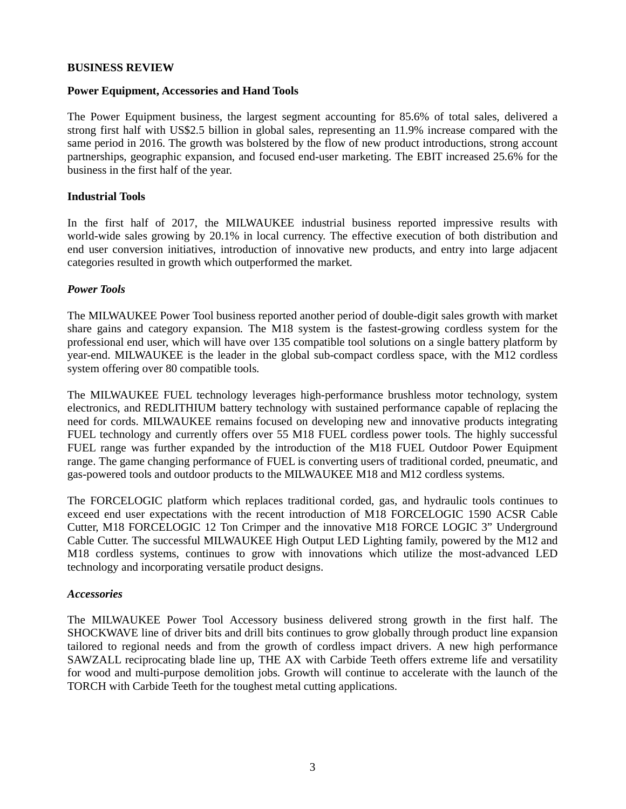# **BUSINESS REVIEW**

#### **Power Equipment, Accessories and Hand Tools**

The Power Equipment business, the largest segment accounting for 85.6% of total sales, delivered a strong first half with US\$2.5 billion in global sales, representing an 11.9% increase compared with the same period in 2016. The growth was bolstered by the flow of new product introductions, strong account partnerships, geographic expansion, and focused end-user marketing. The EBIT increased 25.6% for the business in the first half of the year.

# **Industrial Tools**

In the first half of 2017, the MILWAUKEE industrial business reported impressive results with world-wide sales growing by 20.1% in local currency. The effective execution of both distribution and end user conversion initiatives, introduction of innovative new products, and entry into large adjacent categories resulted in growth which outperformed the market.

#### *Power Tools*

The MILWAUKEE Power Tool business reported another period of double-digit sales growth with market share gains and category expansion. The M18 system is the fastest-growing cordless system for the professional end user, which will have over 135 compatible tool solutions on a single battery platform by year-end. MILWAUKEE is the leader in the global sub-compact cordless space, with the M12 cordless system offering over 80 compatible tools.

The MILWAUKEE FUEL technology leverages high-performance brushless motor technology, system electronics, and REDLITHIUM battery technology with sustained performance capable of replacing the need for cords. MILWAUKEE remains focused on developing new and innovative products integrating FUEL technology and currently offers over 55 M18 FUEL cordless power tools. The highly successful FUEL range was further expanded by the introduction of the M18 FUEL Outdoor Power Equipment range. The game changing performance of FUEL is converting users of traditional corded, pneumatic, and gas-powered tools and outdoor products to the MILWAUKEE M18 and M12 cordless systems.

The FORCELOGIC platform which replaces traditional corded, gas, and hydraulic tools continues to exceed end user expectations with the recent introduction of M18 FORCELOGIC 1590 ACSR Cable Cutter, M18 FORCELOGIC 12 Ton Crimper and the innovative M18 FORCE LOGIC 3" Underground Cable Cutter. The successful MILWAUKEE High Output LED Lighting family, powered by the M12 and M18 cordless systems, continues to grow with innovations which utilize the most-advanced LED technology and incorporating versatile product designs.

#### *Accessories*

The MILWAUKEE Power Tool Accessory business delivered strong growth in the first half. The SHOCKWAVE line of driver bits and drill bits continues to grow globally through product line expansion tailored to regional needs and from the growth of cordless impact drivers. A new high performance SAWZALL reciprocating blade line up, THE AX with Carbide Teeth offers extreme life and versatility for wood and multi-purpose demolition jobs. Growth will continue to accelerate with the launch of the TORCH with Carbide Teeth for the toughest metal cutting applications.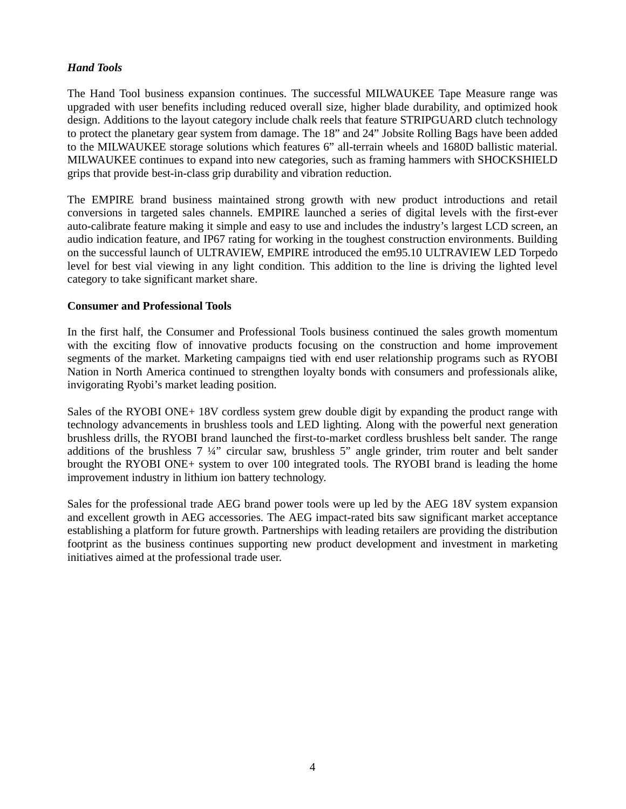# *Hand Tools*

The Hand Tool business expansion continues. The successful MILWAUKEE Tape Measure range was upgraded with user benefits including reduced overall size, higher blade durability, and optimized hook design. Additions to the layout category include chalk reels that feature STRIPGUARD clutch technology to protect the planetary gear system from damage. The 18" and 24" Jobsite Rolling Bags have been added to the MILWAUKEE storage solutions which features 6" all-terrain wheels and 1680D ballistic material. MILWAUKEE continues to expand into new categories, such as framing hammers with SHOCKSHIELD grips that provide best-in-class grip durability and vibration reduction.

The EMPIRE brand business maintained strong growth with new product introductions and retail conversions in targeted sales channels. EMPIRE launched a series of digital levels with the first-ever auto-calibrate feature making it simple and easy to use and includes the industry's largest LCD screen, an audio indication feature, and IP67 rating for working in the toughest construction environments. Building on the successful launch of ULTRAVIEW, EMPIRE introduced the em95.10 ULTRAVIEW LED Torpedo level for best vial viewing in any light condition. This addition to the line is driving the lighted level category to take significant market share.

# **Consumer and Professional Tools**

In the first half, the Consumer and Professional Tools business continued the sales growth momentum with the exciting flow of innovative products focusing on the construction and home improvement segments of the market. Marketing campaigns tied with end user relationship programs such as RYOBI Nation in North America continued to strengthen loyalty bonds with consumers and professionals alike, invigorating Ryobi's market leading position.

Sales of the RYOBI ONE+ 18V cordless system grew double digit by expanding the product range with technology advancements in brushless tools and LED lighting. Along with the powerful next generation brushless drills, the RYOBI brand launched the first-to-market cordless brushless belt sander. The range additions of the brushless 7 ¼" circular saw, brushless 5" angle grinder, trim router and belt sander brought the RYOBI ONE+ system to over 100 integrated tools. The RYOBI brand is leading the home improvement industry in lithium ion battery technology.

Sales for the professional trade AEG brand power tools were up led by the AEG 18V system expansion and excellent growth in AEG accessories. The AEG impact-rated bits saw significant market acceptance establishing a platform for future growth. Partnerships with leading retailers are providing the distribution footprint as the business continues supporting new product development and investment in marketing initiatives aimed at the professional trade user.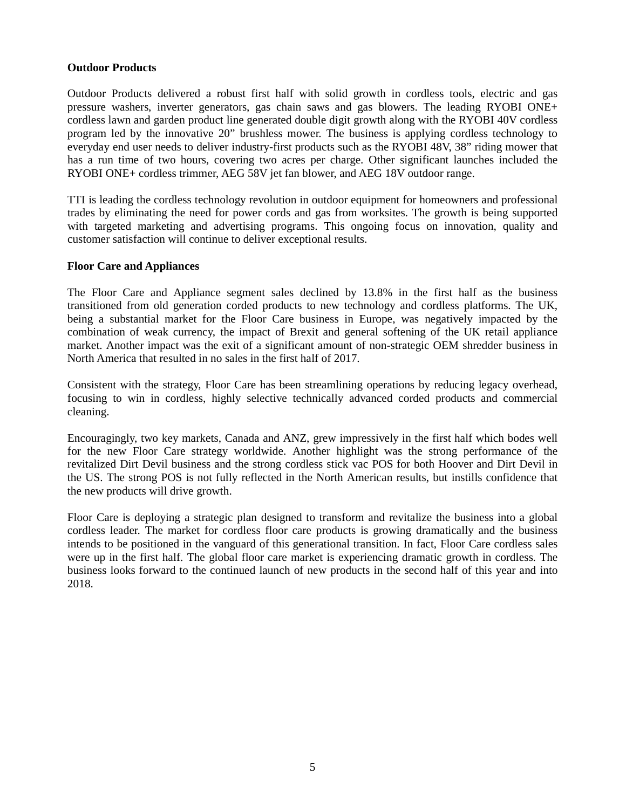# **Outdoor Products**

Outdoor Products delivered a robust first half with solid growth in cordless tools, electric and gas pressure washers, inverter generators, gas chain saws and gas blowers. The leading RYOBI ONE+ cordless lawn and garden product line generated double digit growth along with the RYOBI 40V cordless program led by the innovative 20" brushless mower. The business is applying cordless technology to everyday end user needs to deliver industry-first products such as the RYOBI 48V, 38" riding mower that has a run time of two hours, covering two acres per charge. Other significant launches included the RYOBI ONE+ cordless trimmer, AEG 58V jet fan blower, and AEG 18V outdoor range.

TTI is leading the cordless technology revolution in outdoor equipment for homeowners and professional trades by eliminating the need for power cords and gas from worksites. The growth is being supported with targeted marketing and advertising programs. This ongoing focus on innovation, quality and customer satisfaction will continue to deliver exceptional results.

# **Floor Care and Appliances**

The Floor Care and Appliance segment sales declined by 13.8% in the first half as the business transitioned from old generation corded products to new technology and cordless platforms. The UK, being a substantial market for the Floor Care business in Europe, was negatively impacted by the combination of weak currency, the impact of Brexit and general softening of the UK retail appliance market. Another impact was the exit of a significant amount of non-strategic OEM shredder business in North America that resulted in no sales in the first half of 2017.

Consistent with the strategy, Floor Care has been streamlining operations by reducing legacy overhead, focusing to win in cordless, highly selective technically advanced corded products and commercial cleaning.

Encouragingly, two key markets, Canada and ANZ, grew impressively in the first half which bodes well for the new Floor Care strategy worldwide. Another highlight was the strong performance of the revitalized Dirt Devil business and the strong cordless stick vac POS for both Hoover and Dirt Devil in the US. The strong POS is not fully reflected in the North American results, but instills confidence that the new products will drive growth.

Floor Care is deploying a strategic plan designed to transform and revitalize the business into a global cordless leader. The market for cordless floor care products is growing dramatically and the business intends to be positioned in the vanguard of this generational transition. In fact, Floor Care cordless sales were up in the first half. The global floor care market is experiencing dramatic growth in cordless. The business looks forward to the continued launch of new products in the second half of this year and into 2018.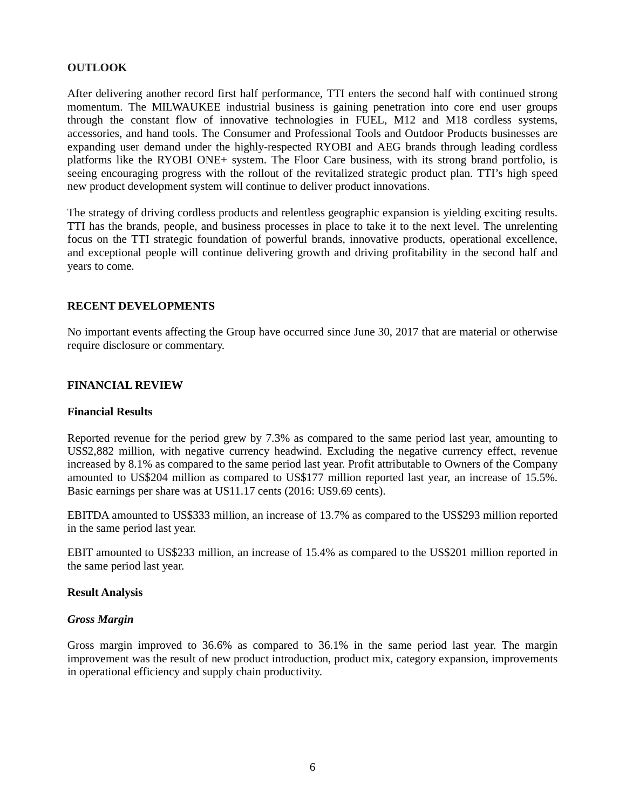# **OUTLOOK**

After delivering another record first half performance, TTI enters the second half with continued strong momentum. The MILWAUKEE industrial business is gaining penetration into core end user groups through the constant flow of innovative technologies in FUEL, M12 and M18 cordless systems, accessories, and hand tools. The Consumer and Professional Tools and Outdoor Products businesses are expanding user demand under the highly-respected RYOBI and AEG brands through leading cordless platforms like the RYOBI ONE+ system. The Floor Care business, with its strong brand portfolio, is seeing encouraging progress with the rollout of the revitalized strategic product plan. TTI's high speed new product development system will continue to deliver product innovations.

The strategy of driving cordless products and relentless geographic expansion is yielding exciting results. TTI has the brands, people, and business processes in place to take it to the next level. The unrelenting focus on the TTI strategic foundation of powerful brands, innovative products, operational excellence, and exceptional people will continue delivering growth and driving profitability in the second half and years to come.

# **RECENT DEVELOPMENTS**

No important events affecting the Group have occurred since June 30, 2017 that are material or otherwise require disclosure or commentary.

# **FINANCIAL REVIEW**

# **Financial Results**

Reported revenue for the period grew by 7.3% as compared to the same period last year, amounting to US\$2,882 million, with negative currency headwind. Excluding the negative currency effect, revenue increased by 8.1% as compared to the same period last year. Profit attributable to Owners of the Company amounted to US\$204 million as compared to US\$177 million reported last year, an increase of 15.5%. Basic earnings per share was at US11.17 cents (2016: US9.69 cents).

EBITDA amounted to US\$333 million, an increase of 13.7% as compared to the US\$293 million reported in the same period last year.

EBIT amounted to US\$233 million, an increase of 15.4% as compared to the US\$201 million reported in the same period last year.

# **Result Analysis**

# *Gross Margin*

Gross margin improved to 36.6% as compared to 36.1% in the same period last year. The margin improvement was the result of new product introduction, product mix, category expansion, improvements in operational efficiency and supply chain productivity.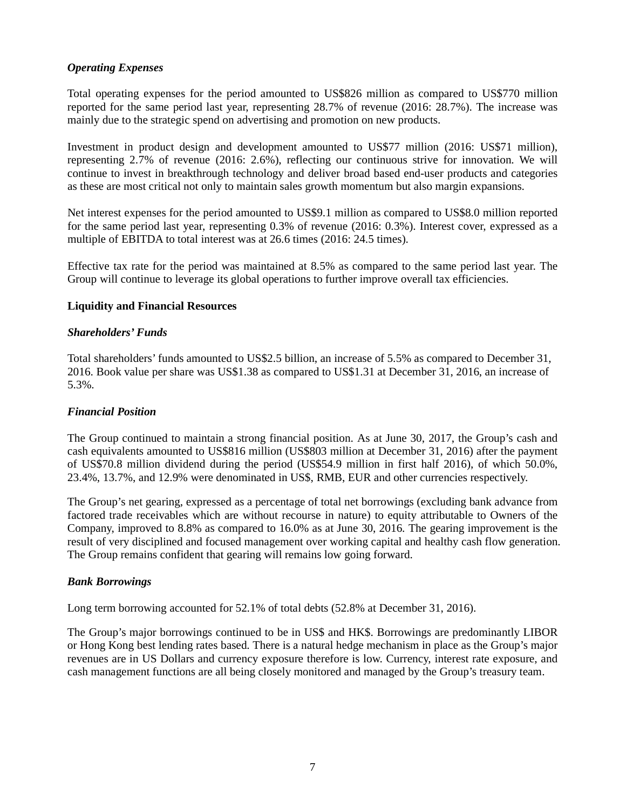# *Operating Expenses*

Total operating expenses for the period amounted to US\$826 million as compared to US\$770 million reported for the same period last year, representing 28.7% of revenue (2016: 28.7%). The increase was mainly due to the strategic spend on advertising and promotion on new products.

Investment in product design and development amounted to US\$77 million (2016: US\$71 million), representing 2.7% of revenue (2016: 2.6%), reflecting our continuous strive for innovation. We will continue to invest in breakthrough technology and deliver broad based end-user products and categories as these are most critical not only to maintain sales growth momentum but also margin expansions.

Net interest expenses for the period amounted to US\$9.1 million as compared to US\$8.0 million reported for the same period last year, representing 0.3% of revenue (2016: 0.3%). Interest cover, expressed as a multiple of EBITDA to total interest was at 26.6 times (2016: 24.5 times).

Effective tax rate for the period was maintained at 8.5% as compared to the same period last year. The Group will continue to leverage its global operations to further improve overall tax efficiencies.

# **Liquidity and Financial Resources**

#### *Shareholders' Funds*

Total shareholders' funds amounted to US\$2.5 billion, an increase of 5.5% as compared to December 31, 2016. Book value per share was US\$1.38 as compared to US\$1.31 at December 31, 2016, an increase of 5.3%.

# *Financial Position*

The Group continued to maintain a strong financial position. As at June 30, 2017, the Group's cash and cash equivalents amounted to US\$816 million (US\$803 million at December 31, 2016) after the payment of US\$70.8 million dividend during the period (US\$54.9 million in first half 2016), of which 50.0%, 23.4%, 13.7%, and 12.9% were denominated in US\$, RMB, EUR and other currencies respectively.

The Group's net gearing, expressed as a percentage of total net borrowings (excluding bank advance from factored trade receivables which are without recourse in nature) to equity attributable to Owners of the Company, improved to 8.8% as compared to 16.0% as at June 30, 2016. The gearing improvement is the result of very disciplined and focused management over working capital and healthy cash flow generation. The Group remains confident that gearing will remains low going forward.

# *Bank Borrowings*

Long term borrowing accounted for 52.1% of total debts (52.8% at December 31, 2016).

The Group's major borrowings continued to be in US\$ and HK\$. Borrowings are predominantly LIBOR or Hong Kong best lending rates based. There is a natural hedge mechanism in place as the Group's major revenues are in US Dollars and currency exposure therefore is low. Currency, interest rate exposure, and cash management functions are all being closely monitored and managed by the Group's treasury team.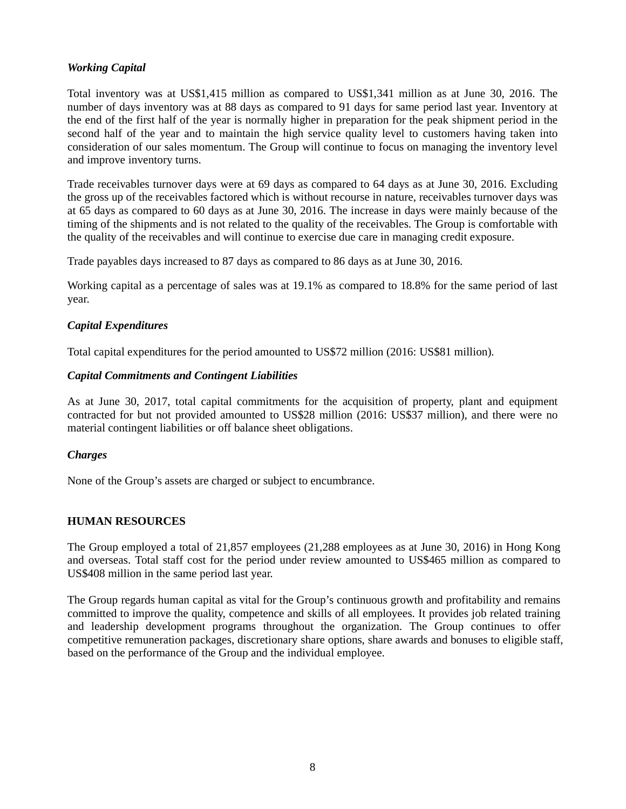# *Working Capital*

Total inventory was at US\$1,415 million as compared to US\$1,341 million as at June 30, 2016. The number of days inventory was at 88 days as compared to 91 days for same period last year. Inventory at the end of the first half of the year is normally higher in preparation for the peak shipment period in the second half of the year and to maintain the high service quality level to customers having taken into consideration of our sales momentum. The Group will continue to focus on managing the inventory level and improve inventory turns.

Trade receivables turnover days were at 69 days as compared to 64 days as at June 30, 2016. Excluding the gross up of the receivables factored which is without recourse in nature, receivables turnover days was at 65 days as compared to 60 days as at June 30, 2016. The increase in days were mainly because of the timing of the shipments and is not related to the quality of the receivables. The Group is comfortable with the quality of the receivables and will continue to exercise due care in managing credit exposure.

Trade payables days increased to 87 days as compared to 86 days as at June 30, 2016.

Working capital as a percentage of sales was at 19.1% as compared to 18.8% for the same period of last year.

# *Capital Expenditures*

Total capital expenditures for the period amounted to US\$72 million (2016: US\$81 million).

# *Capital Commitments and Contingent Liabilities*

As at June 30, 2017, total capital commitments for the acquisition of property, plant and equipment contracted for but not provided amounted to US\$28 million (2016: US\$37 million), and there were no material contingent liabilities or off balance sheet obligations.

# *Charges*

None of the Group's assets are charged or subject to encumbrance.

# **HUMAN RESOURCES**

The Group employed a total of 21,857 employees (21,288 employees as at June 30, 2016) in Hong Kong and overseas. Total staff cost for the period under review amounted to US\$465 million as compared to US\$408 million in the same period last year.

The Group regards human capital as vital for the Group's continuous growth and profitability and remains committed to improve the quality, competence and skills of all employees. It provides job related training and leadership development programs throughout the organization. The Group continues to offer competitive remuneration packages, discretionary share options, share awards and bonuses to eligible staff, based on the performance of the Group and the individual employee.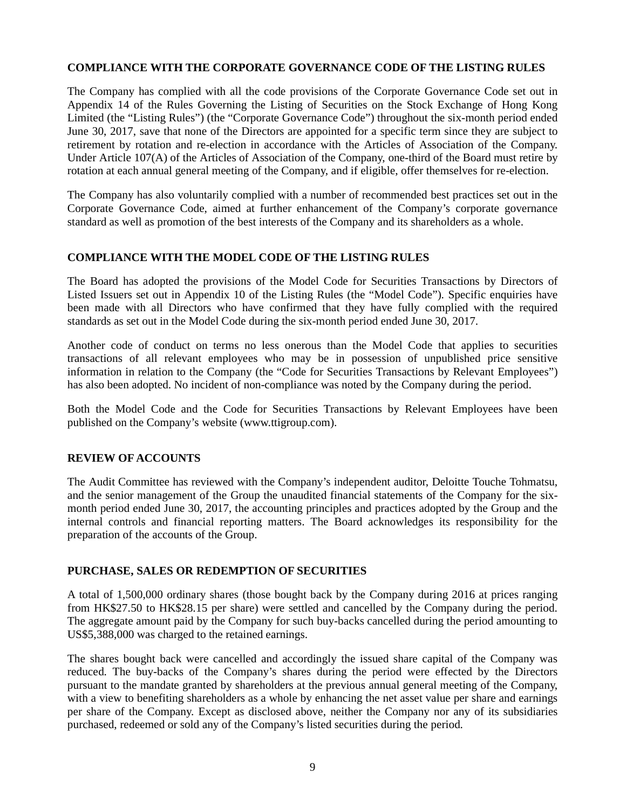# **COMPLIANCE WITH THE CORPORATE GOVERNANCE CODE OF THE LISTING RULES**

The Company has complied with all the code provisions of the Corporate Governance Code set out in Appendix 14 of the Rules Governing the Listing of Securities on the Stock Exchange of Hong Kong Limited (the "Listing Rules") (the "Corporate Governance Code") throughout the six-month period ended June 30, 2017, save that none of the Directors are appointed for a specific term since they are subject to retirement by rotation and re-election in accordance with the Articles of Association of the Company. Under Article 107(A) of the Articles of Association of the Company, one-third of the Board must retire by rotation at each annual general meeting of the Company, and if eligible, offer themselves for re-election.

The Company has also voluntarily complied with a number of recommended best practices set out in the Corporate Governance Code, aimed at further enhancement of the Company's corporate governance standard as well as promotion of the best interests of the Company and its shareholders as a whole.

# **COMPLIANCE WITH THE MODEL CODE OF THE LISTING RULES**

The Board has adopted the provisions of the Model Code for Securities Transactions by Directors of Listed Issuers set out in Appendix 10 of the Listing Rules (the "Model Code"). Specific enquiries have been made with all Directors who have confirmed that they have fully complied with the required standards as set out in the Model Code during the six-month period ended June 30, 2017.

Another code of conduct on terms no less onerous than the Model Code that applies to securities transactions of all relevant employees who may be in possession of unpublished price sensitive information in relation to the Company (the "Code for Securities Transactions by Relevant Employees") has also been adopted. No incident of non-compliance was noted by the Company during the period.

Both the Model Code and the Code for Securities Transactions by Relevant Employees have been published on the Company's website (www.ttigroup.com).

# **REVIEW OF ACCOUNTS**

The Audit Committee has reviewed with the Company's independent auditor, Deloitte Touche Tohmatsu, and the senior management of the Group the unaudited financial statements of the Company for the sixmonth period ended June 30, 2017, the accounting principles and practices adopted by the Group and the internal controls and financial reporting matters. The Board acknowledges its responsibility for the preparation of the accounts of the Group.

# **PURCHASE, SALES OR REDEMPTION OF SECURITIES**

A total of 1,500,000 ordinary shares (those bought back by the Company during 2016 at prices ranging from HK\$27.50 to HK\$28.15 per share) were settled and cancelled by the Company during the period. The aggregate amount paid by the Company for such buy-backs cancelled during the period amounting to US\$5,388,000 was charged to the retained earnings.

The shares bought back were cancelled and accordingly the issued share capital of the Company was reduced. The buy-backs of the Company's shares during the period were effected by the Directors pursuant to the mandate granted by shareholders at the previous annual general meeting of the Company, with a view to benefiting shareholders as a whole by enhancing the net asset value per share and earnings per share of the Company. Except as disclosed above, neither the Company nor any of its subsidiaries purchased, redeemed or sold any of the Company's listed securities during the period.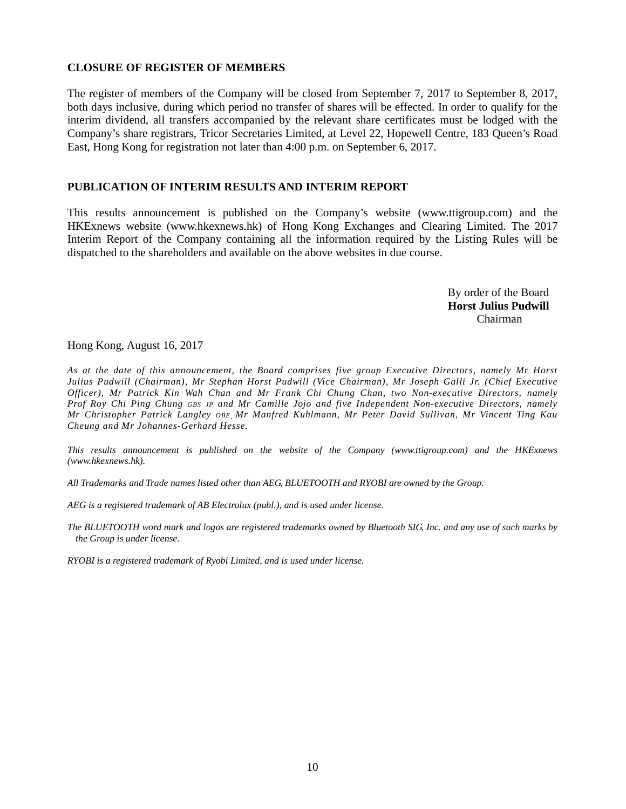# **CLOSURE OF REGISTER OF MEMBERS**

The register of members of the Company will be closed from September 7, 2017 to September 8, 2017, both days inclusive, during which period no transfer of shares will be effected. In order to qualify for the interim dividend, all transfers accompanied by the relevant share certificates must be lodged with the Company's share registrars, Tricor Secretaries Limited, at Level 22, Hopewell Centre, 183 Queen's Road East, Hong Kong for registration not later than 4:00 p.m. on September 6, 2017.

# **PUBLICATION OF INTERIM RESULTS AND INTERIM REPORT**

This results announcement is published on the Company's website (www.ttigroup.com) and the HKExnews website (www.hkexnews.hk) of Hong Kong Exchanges and Clearing Limited. The 2017 Interim Report of the Company containing all the information required by the Listing Rules will be dispatched to the shareholders and available on the above websites in due course.

> By order of the Board **Horst Julius Pudwill**  Chairman

Hong Kong, August 16, 2017

*As at the date of this announcement, the Board comprises five group Executive Directors, namely Mr Horst Julius Pudwill (Chairman), Mr Stephan Horst Pudwill (Vice Chairman), Mr Joseph Galli Jr. (Chief Executive Officer), Mr Patrick Kin Wah Chan and Mr Frank Chi Chung Chan, two Non-executive Directors, namely Prof Roy Chi Ping Chung GBS JP and Mr Camille Jojo and five Independent Non-executive Directors, namely Mr Christopher Patrick Langley OBE, Mr Manfred Kuhlmann, Mr Peter David Sullivan, Mr Vincent Ting Kau Cheung and Mr Johannes-Gerhard Hesse.*

*This results announcement is published on the website of the Company (www.ttigroup.com) and the HKExnews (www.hkexnews.hk).* 

*All Trademarks and Trade names listed other than AEG, BLUETOOTH and RYOBI are owned by the Group.* 

*AEG is a registered trademark of AB Electrolux (publ.), and is used under license.* 

*The BLUETOOTH word mark and logos are registered trademarks owned by Bluetooth SIG, Inc. and any use of such marks by the Group is under license.* 

*RYOBI is a registered trademark of Ryobi Limited, and is used under license.*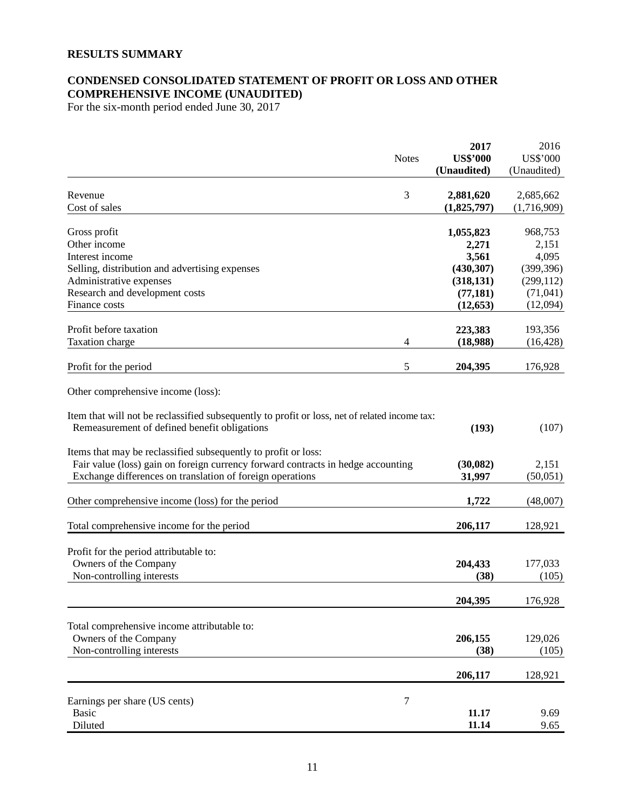# **RESULTS SUMMARY**

# **CONDENSED CONSOLIDATED STATEMENT OF PROFIT OR LOSS AND OTHER COMPREHENSIVE INCOME (UNAUDITED)**

For the six-month period ended June 30, 2017

| <b>US\$'000</b><br><b>US\$'000</b><br><b>Notes</b><br>(Unaudited)<br>(Unaudited)<br>3<br>Revenue<br>2,881,620<br>2,685,662<br>(1,716,909)<br>Cost of sales<br>(1,825,797)<br>968,753<br>Gross profit<br>1,055,823<br>Other income<br>2,151<br>2,271<br>4,095<br>Interest income<br>3,561<br>Selling, distribution and advertising expenses<br>(399, 396)<br>(430, 307)<br>Administrative expenses<br>(299, 112)<br>(318, 131)<br>(71, 041)<br>Research and development costs<br>(77, 181)<br>(12,094)<br>Finance costs<br>(12, 653)<br>Profit before taxation<br>223,383<br>193,356<br>Taxation charge<br>4<br>(18,988)<br>(16, 428)<br>5<br>Profit for the period<br>204,395<br>176,928<br>Other comprehensive income (loss):<br>Item that will not be reclassified subsequently to profit or loss, net of related income tax:<br>Remeasurement of defined benefit obligations<br>(193)<br>(107)<br>Items that may be reclassified subsequently to profit or loss:<br>Fair value (loss) gain on foreign currency forward contracts in hedge accounting<br>(30,082)<br>2,151<br>Exchange differences on translation of foreign operations<br>(50,051)<br>31,997<br>Other comprehensive income (loss) for the period<br>1,722<br>(48,007)<br>Total comprehensive income for the period<br>206,117<br>128,921<br>Profit for the period attributable to:<br>Owners of the Company<br>204,433<br>177,033<br>Non-controlling interests<br>(38)<br>(105)<br>204,395<br>176,928<br>Total comprehensive income attributable to:<br>Owners of the Company<br>206,155<br>129,026<br>Non-controlling interests<br>(105)<br>(38)<br>206,117<br>128,921<br>Earnings per share (US cents)<br>7<br><b>Basic</b><br>11.17<br>9.69<br>11.14<br>Diluted<br>9.65 |  | 2017 | 2016 |
|-----------------------------------------------------------------------------------------------------------------------------------------------------------------------------------------------------------------------------------------------------------------------------------------------------------------------------------------------------------------------------------------------------------------------------------------------------------------------------------------------------------------------------------------------------------------------------------------------------------------------------------------------------------------------------------------------------------------------------------------------------------------------------------------------------------------------------------------------------------------------------------------------------------------------------------------------------------------------------------------------------------------------------------------------------------------------------------------------------------------------------------------------------------------------------------------------------------------------------------------------------------------------------------------------------------------------------------------------------------------------------------------------------------------------------------------------------------------------------------------------------------------------------------------------------------------------------------------------------------------------------------------------------------------------------------------------------------------------------------------------|--|------|------|
|                                                                                                                                                                                                                                                                                                                                                                                                                                                                                                                                                                                                                                                                                                                                                                                                                                                                                                                                                                                                                                                                                                                                                                                                                                                                                                                                                                                                                                                                                                                                                                                                                                                                                                                                               |  |      |      |
|                                                                                                                                                                                                                                                                                                                                                                                                                                                                                                                                                                                                                                                                                                                                                                                                                                                                                                                                                                                                                                                                                                                                                                                                                                                                                                                                                                                                                                                                                                                                                                                                                                                                                                                                               |  |      |      |
|                                                                                                                                                                                                                                                                                                                                                                                                                                                                                                                                                                                                                                                                                                                                                                                                                                                                                                                                                                                                                                                                                                                                                                                                                                                                                                                                                                                                                                                                                                                                                                                                                                                                                                                                               |  |      |      |
|                                                                                                                                                                                                                                                                                                                                                                                                                                                                                                                                                                                                                                                                                                                                                                                                                                                                                                                                                                                                                                                                                                                                                                                                                                                                                                                                                                                                                                                                                                                                                                                                                                                                                                                                               |  |      |      |
|                                                                                                                                                                                                                                                                                                                                                                                                                                                                                                                                                                                                                                                                                                                                                                                                                                                                                                                                                                                                                                                                                                                                                                                                                                                                                                                                                                                                                                                                                                                                                                                                                                                                                                                                               |  |      |      |
|                                                                                                                                                                                                                                                                                                                                                                                                                                                                                                                                                                                                                                                                                                                                                                                                                                                                                                                                                                                                                                                                                                                                                                                                                                                                                                                                                                                                                                                                                                                                                                                                                                                                                                                                               |  |      |      |
|                                                                                                                                                                                                                                                                                                                                                                                                                                                                                                                                                                                                                                                                                                                                                                                                                                                                                                                                                                                                                                                                                                                                                                                                                                                                                                                                                                                                                                                                                                                                                                                                                                                                                                                                               |  |      |      |
|                                                                                                                                                                                                                                                                                                                                                                                                                                                                                                                                                                                                                                                                                                                                                                                                                                                                                                                                                                                                                                                                                                                                                                                                                                                                                                                                                                                                                                                                                                                                                                                                                                                                                                                                               |  |      |      |
|                                                                                                                                                                                                                                                                                                                                                                                                                                                                                                                                                                                                                                                                                                                                                                                                                                                                                                                                                                                                                                                                                                                                                                                                                                                                                                                                                                                                                                                                                                                                                                                                                                                                                                                                               |  |      |      |
|                                                                                                                                                                                                                                                                                                                                                                                                                                                                                                                                                                                                                                                                                                                                                                                                                                                                                                                                                                                                                                                                                                                                                                                                                                                                                                                                                                                                                                                                                                                                                                                                                                                                                                                                               |  |      |      |
|                                                                                                                                                                                                                                                                                                                                                                                                                                                                                                                                                                                                                                                                                                                                                                                                                                                                                                                                                                                                                                                                                                                                                                                                                                                                                                                                                                                                                                                                                                                                                                                                                                                                                                                                               |  |      |      |
|                                                                                                                                                                                                                                                                                                                                                                                                                                                                                                                                                                                                                                                                                                                                                                                                                                                                                                                                                                                                                                                                                                                                                                                                                                                                                                                                                                                                                                                                                                                                                                                                                                                                                                                                               |  |      |      |
|                                                                                                                                                                                                                                                                                                                                                                                                                                                                                                                                                                                                                                                                                                                                                                                                                                                                                                                                                                                                                                                                                                                                                                                                                                                                                                                                                                                                                                                                                                                                                                                                                                                                                                                                               |  |      |      |
|                                                                                                                                                                                                                                                                                                                                                                                                                                                                                                                                                                                                                                                                                                                                                                                                                                                                                                                                                                                                                                                                                                                                                                                                                                                                                                                                                                                                                                                                                                                                                                                                                                                                                                                                               |  |      |      |
|                                                                                                                                                                                                                                                                                                                                                                                                                                                                                                                                                                                                                                                                                                                                                                                                                                                                                                                                                                                                                                                                                                                                                                                                                                                                                                                                                                                                                                                                                                                                                                                                                                                                                                                                               |  |      |      |
|                                                                                                                                                                                                                                                                                                                                                                                                                                                                                                                                                                                                                                                                                                                                                                                                                                                                                                                                                                                                                                                                                                                                                                                                                                                                                                                                                                                                                                                                                                                                                                                                                                                                                                                                               |  |      |      |
|                                                                                                                                                                                                                                                                                                                                                                                                                                                                                                                                                                                                                                                                                                                                                                                                                                                                                                                                                                                                                                                                                                                                                                                                                                                                                                                                                                                                                                                                                                                                                                                                                                                                                                                                               |  |      |      |
|                                                                                                                                                                                                                                                                                                                                                                                                                                                                                                                                                                                                                                                                                                                                                                                                                                                                                                                                                                                                                                                                                                                                                                                                                                                                                                                                                                                                                                                                                                                                                                                                                                                                                                                                               |  |      |      |
|                                                                                                                                                                                                                                                                                                                                                                                                                                                                                                                                                                                                                                                                                                                                                                                                                                                                                                                                                                                                                                                                                                                                                                                                                                                                                                                                                                                                                                                                                                                                                                                                                                                                                                                                               |  |      |      |
|                                                                                                                                                                                                                                                                                                                                                                                                                                                                                                                                                                                                                                                                                                                                                                                                                                                                                                                                                                                                                                                                                                                                                                                                                                                                                                                                                                                                                                                                                                                                                                                                                                                                                                                                               |  |      |      |
|                                                                                                                                                                                                                                                                                                                                                                                                                                                                                                                                                                                                                                                                                                                                                                                                                                                                                                                                                                                                                                                                                                                                                                                                                                                                                                                                                                                                                                                                                                                                                                                                                                                                                                                                               |  |      |      |
|                                                                                                                                                                                                                                                                                                                                                                                                                                                                                                                                                                                                                                                                                                                                                                                                                                                                                                                                                                                                                                                                                                                                                                                                                                                                                                                                                                                                                                                                                                                                                                                                                                                                                                                                               |  |      |      |
|                                                                                                                                                                                                                                                                                                                                                                                                                                                                                                                                                                                                                                                                                                                                                                                                                                                                                                                                                                                                                                                                                                                                                                                                                                                                                                                                                                                                                                                                                                                                                                                                                                                                                                                                               |  |      |      |
|                                                                                                                                                                                                                                                                                                                                                                                                                                                                                                                                                                                                                                                                                                                                                                                                                                                                                                                                                                                                                                                                                                                                                                                                                                                                                                                                                                                                                                                                                                                                                                                                                                                                                                                                               |  |      |      |
|                                                                                                                                                                                                                                                                                                                                                                                                                                                                                                                                                                                                                                                                                                                                                                                                                                                                                                                                                                                                                                                                                                                                                                                                                                                                                                                                                                                                                                                                                                                                                                                                                                                                                                                                               |  |      |      |
|                                                                                                                                                                                                                                                                                                                                                                                                                                                                                                                                                                                                                                                                                                                                                                                                                                                                                                                                                                                                                                                                                                                                                                                                                                                                                                                                                                                                                                                                                                                                                                                                                                                                                                                                               |  |      |      |
|                                                                                                                                                                                                                                                                                                                                                                                                                                                                                                                                                                                                                                                                                                                                                                                                                                                                                                                                                                                                                                                                                                                                                                                                                                                                                                                                                                                                                                                                                                                                                                                                                                                                                                                                               |  |      |      |
|                                                                                                                                                                                                                                                                                                                                                                                                                                                                                                                                                                                                                                                                                                                                                                                                                                                                                                                                                                                                                                                                                                                                                                                                                                                                                                                                                                                                                                                                                                                                                                                                                                                                                                                                               |  |      |      |
|                                                                                                                                                                                                                                                                                                                                                                                                                                                                                                                                                                                                                                                                                                                                                                                                                                                                                                                                                                                                                                                                                                                                                                                                                                                                                                                                                                                                                                                                                                                                                                                                                                                                                                                                               |  |      |      |
|                                                                                                                                                                                                                                                                                                                                                                                                                                                                                                                                                                                                                                                                                                                                                                                                                                                                                                                                                                                                                                                                                                                                                                                                                                                                                                                                                                                                                                                                                                                                                                                                                                                                                                                                               |  |      |      |
|                                                                                                                                                                                                                                                                                                                                                                                                                                                                                                                                                                                                                                                                                                                                                                                                                                                                                                                                                                                                                                                                                                                                                                                                                                                                                                                                                                                                                                                                                                                                                                                                                                                                                                                                               |  |      |      |
|                                                                                                                                                                                                                                                                                                                                                                                                                                                                                                                                                                                                                                                                                                                                                                                                                                                                                                                                                                                                                                                                                                                                                                                                                                                                                                                                                                                                                                                                                                                                                                                                                                                                                                                                               |  |      |      |
|                                                                                                                                                                                                                                                                                                                                                                                                                                                                                                                                                                                                                                                                                                                                                                                                                                                                                                                                                                                                                                                                                                                                                                                                                                                                                                                                                                                                                                                                                                                                                                                                                                                                                                                                               |  |      |      |
|                                                                                                                                                                                                                                                                                                                                                                                                                                                                                                                                                                                                                                                                                                                                                                                                                                                                                                                                                                                                                                                                                                                                                                                                                                                                                                                                                                                                                                                                                                                                                                                                                                                                                                                                               |  |      |      |
|                                                                                                                                                                                                                                                                                                                                                                                                                                                                                                                                                                                                                                                                                                                                                                                                                                                                                                                                                                                                                                                                                                                                                                                                                                                                                                                                                                                                                                                                                                                                                                                                                                                                                                                                               |  |      |      |
|                                                                                                                                                                                                                                                                                                                                                                                                                                                                                                                                                                                                                                                                                                                                                                                                                                                                                                                                                                                                                                                                                                                                                                                                                                                                                                                                                                                                                                                                                                                                                                                                                                                                                                                                               |  |      |      |
|                                                                                                                                                                                                                                                                                                                                                                                                                                                                                                                                                                                                                                                                                                                                                                                                                                                                                                                                                                                                                                                                                                                                                                                                                                                                                                                                                                                                                                                                                                                                                                                                                                                                                                                                               |  |      |      |
|                                                                                                                                                                                                                                                                                                                                                                                                                                                                                                                                                                                                                                                                                                                                                                                                                                                                                                                                                                                                                                                                                                                                                                                                                                                                                                                                                                                                                                                                                                                                                                                                                                                                                                                                               |  |      |      |
|                                                                                                                                                                                                                                                                                                                                                                                                                                                                                                                                                                                                                                                                                                                                                                                                                                                                                                                                                                                                                                                                                                                                                                                                                                                                                                                                                                                                                                                                                                                                                                                                                                                                                                                                               |  |      |      |
|                                                                                                                                                                                                                                                                                                                                                                                                                                                                                                                                                                                                                                                                                                                                                                                                                                                                                                                                                                                                                                                                                                                                                                                                                                                                                                                                                                                                                                                                                                                                                                                                                                                                                                                                               |  |      |      |
|                                                                                                                                                                                                                                                                                                                                                                                                                                                                                                                                                                                                                                                                                                                                                                                                                                                                                                                                                                                                                                                                                                                                                                                                                                                                                                                                                                                                                                                                                                                                                                                                                                                                                                                                               |  |      |      |
|                                                                                                                                                                                                                                                                                                                                                                                                                                                                                                                                                                                                                                                                                                                                                                                                                                                                                                                                                                                                                                                                                                                                                                                                                                                                                                                                                                                                                                                                                                                                                                                                                                                                                                                                               |  |      |      |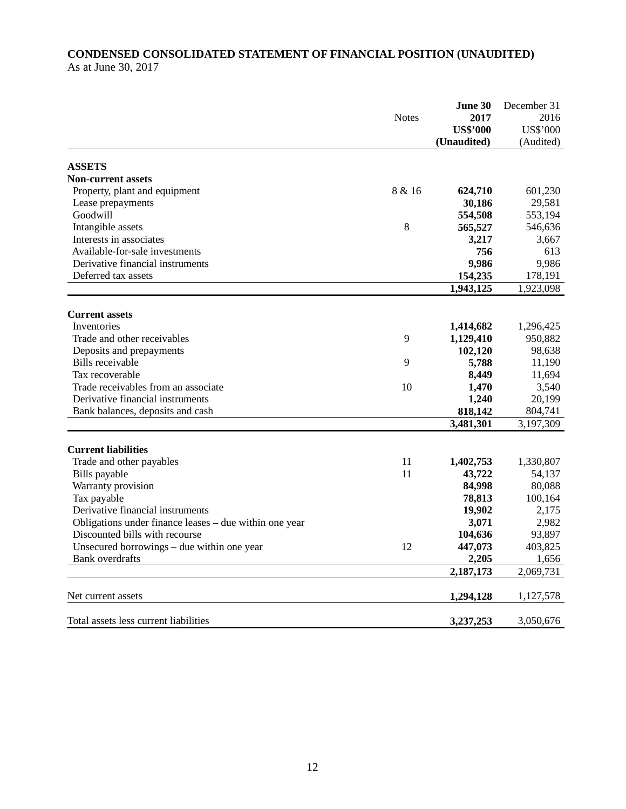# **CONDENSED CONSOLIDATED STATEMENT OF FINANCIAL POSITION (UNAUDITED)**  As at June 30, 2017

|                                                        | <b>Notes</b> | <b>June 30</b>  | December 31     |
|--------------------------------------------------------|--------------|-----------------|-----------------|
|                                                        |              | 2017            | 2016            |
|                                                        |              | <b>US\$'000</b> | <b>US\$'000</b> |
|                                                        |              | (Unaudited)     | (Audited)       |
| <b>ASSETS</b>                                          |              |                 |                 |
| <b>Non-current assets</b>                              |              |                 |                 |
| Property, plant and equipment                          | 8 & 16       | 624,710         | 601,230         |
| Lease prepayments                                      |              | 30,186          | 29,581          |
| Goodwill                                               |              | 554,508         | 553,194         |
| Intangible assets                                      | 8            | 565,527         | 546,636         |
| Interests in associates                                |              | 3,217           | 3,667           |
| Available-for-sale investments                         |              | 756             | 613             |
| Derivative financial instruments                       |              | 9,986           | 9,986           |
| Deferred tax assets                                    |              | 154,235         | 178,191         |
|                                                        |              | 1,943,125       | 1,923,098       |
|                                                        |              |                 |                 |
| <b>Current assets</b>                                  |              |                 |                 |
| Inventories                                            |              | 1,414,682       | 1,296,425       |
| Trade and other receivables                            | 9            | 1,129,410       | 950,882         |
| Deposits and prepayments                               |              | 102,120         | 98,638          |
| Bills receivable                                       | 9            | 5,788           | 11,190          |
| Tax recoverable                                        |              | 8,449           | 11,694          |
| Trade receivables from an associate                    | 10           | 1,470           | 3,540           |
| Derivative financial instruments                       |              | 1,240           | 20,199          |
| Bank balances, deposits and cash                       |              | 818,142         | 804,741         |
|                                                        |              | 3,481,301       | 3,197,309       |
|                                                        |              |                 |                 |
| <b>Current liabilities</b>                             |              |                 |                 |
| Trade and other payables                               | 11           | 1,402,753       | 1,330,807       |
| Bills payable                                          | 11           | 43,722          | 54,137          |
| Warranty provision                                     |              | 84,998          | 80,088          |
| Tax payable                                            |              | 78,813          | 100,164         |
| Derivative financial instruments                       |              | 19,902          | 2,175           |
| Obligations under finance leases – due within one year |              | 3,071           | 2,982           |
| Discounted bills with recourse                         |              | 104,636         | 93,897          |
| Unsecured borrowings – due within one year             | 12           | 447,073         | 403,825         |
| <b>Bank</b> overdrafts                                 |              | 2,205           | 1,656           |
|                                                        |              | 2,187,173       | 2,069,731       |
|                                                        |              |                 |                 |
| Net current assets                                     |              | 1,294,128       | 1,127,578       |
| Total assets less current liabilities                  |              | 3,237,253       | 3,050,676       |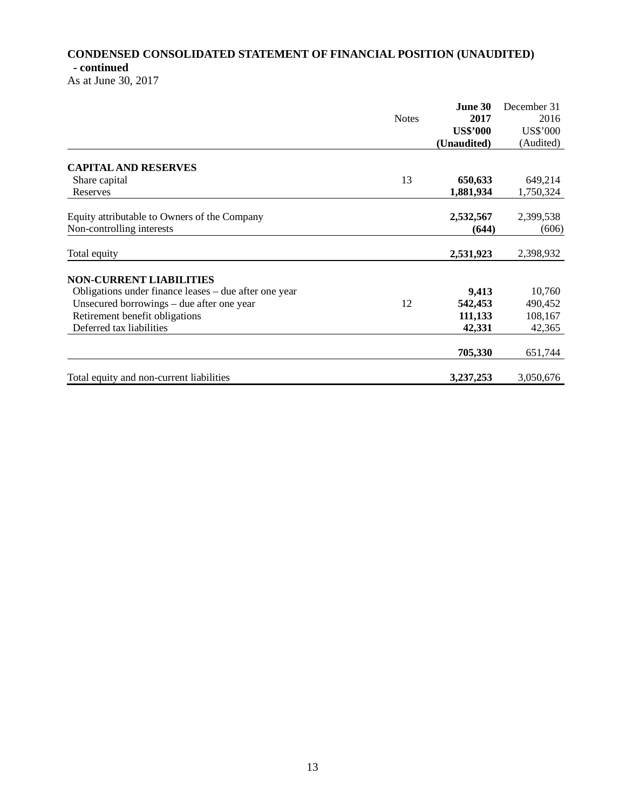# **CONDENSED CONSOLIDATED STATEMENT OF FINANCIAL POSITION (UNAUDITED) - continued**

As at June 30, 2017

|                                                       | <b>Notes</b> | June 30         | December 31 |
|-------------------------------------------------------|--------------|-----------------|-------------|
|                                                       |              | 2017            | 2016        |
|                                                       |              | <b>US\$'000</b> | US\$'000    |
|                                                       |              | (Unaudited)     | (Audited)   |
| <b>CAPITAL AND RESERVES</b>                           |              |                 |             |
| Share capital                                         | 13           | 650,633         | 649,214     |
| Reserves                                              |              | 1,881,934       | 1,750,324   |
| Equity attributable to Owners of the Company          |              | 2,532,567       | 2,399,538   |
| Non-controlling interests                             |              | (644)           | (606)       |
| Total equity                                          |              | 2,531,923       | 2,398,932   |
| <b>NON-CURRENT LIABILITIES</b>                        |              |                 |             |
| Obligations under finance leases – due after one year |              | 9,413           | 10,760      |
| Unsecured borrowings – due after one year             | 12           | 542,453         | 490,452     |
| Retirement benefit obligations                        |              | 111,133         | 108,167     |
| Deferred tax liabilities                              |              | 42,331          | 42,365      |
|                                                       |              | 705,330         | 651,744     |
| Total equity and non-current liabilities              |              | 3,237,253       | 3,050,676   |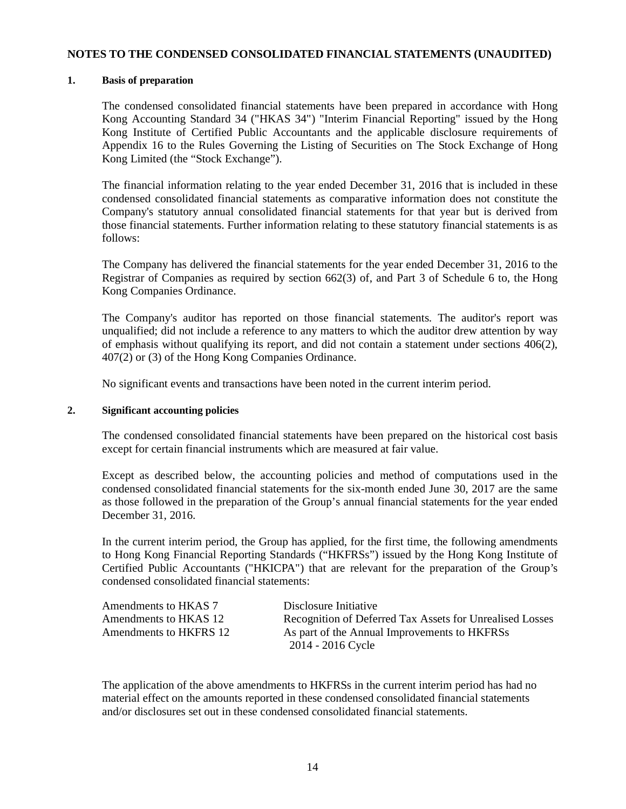### **NOTES TO THE CONDENSED CONSOLIDATED FINANCIAL STATEMENTS (UNAUDITED)**

# **1. Basis of preparation**

The condensed consolidated financial statements have been prepared in accordance with Hong Kong Accounting Standard 34 ("HKAS 34") "Interim Financial Reporting" issued by the Hong Kong Institute of Certified Public Accountants and the applicable disclosure requirements of Appendix 16 to the Rules Governing the Listing of Securities on The Stock Exchange of Hong Kong Limited (the "Stock Exchange").

The financial information relating to the year ended December 31, 2016 that is included in these condensed consolidated financial statements as comparative information does not constitute the Company's statutory annual consolidated financial statements for that year but is derived from those financial statements. Further information relating to these statutory financial statements is as follows:

The Company has delivered the financial statements for the year ended December 31, 2016 to the Registrar of Companies as required by section 662(3) of, and Part 3 of Schedule 6 to, the Hong Kong Companies Ordinance.

The Company's auditor has reported on those financial statements. The auditor's report was unqualified; did not include a reference to any matters to which the auditor drew attention by way of emphasis without qualifying its report, and did not contain a statement under sections 406(2), 407(2) or (3) of the Hong Kong Companies Ordinance.

No significant events and transactions have been noted in the current interim period.

### **2. Significant accounting policies**

The condensed consolidated financial statements have been prepared on the historical cost basis except for certain financial instruments which are measured at fair value.

Except as described below, the accounting policies and method of computations used in the condensed consolidated financial statements for the six-month ended June 30, 2017 are the same as those followed in the preparation of the Group's annual financial statements for the year ended December 31, 2016.

In the current interim period, the Group has applied, for the first time, the following amendments to Hong Kong Financial Reporting Standards ("HKFRSs") issued by the Hong Kong Institute of Certified Public Accountants ("HKICPA") that are relevant for the preparation of the Group's condensed consolidated financial statements:

| Amendments to HKAS 7   | Disclosure Initiative                                    |
|------------------------|----------------------------------------------------------|
| Amendments to HKAS 12  | Recognition of Deferred Tax Assets for Unrealised Losses |
| Amendments to HKFRS 12 | As part of the Annual Improvements to HKFRSs             |
|                        | 2014 - 2016 Cycle                                        |

The application of the above amendments to HKFRSs in the current interim period has had no material effect on the amounts reported in these condensed consolidated financial statements and/or disclosures set out in these condensed consolidated financial statements.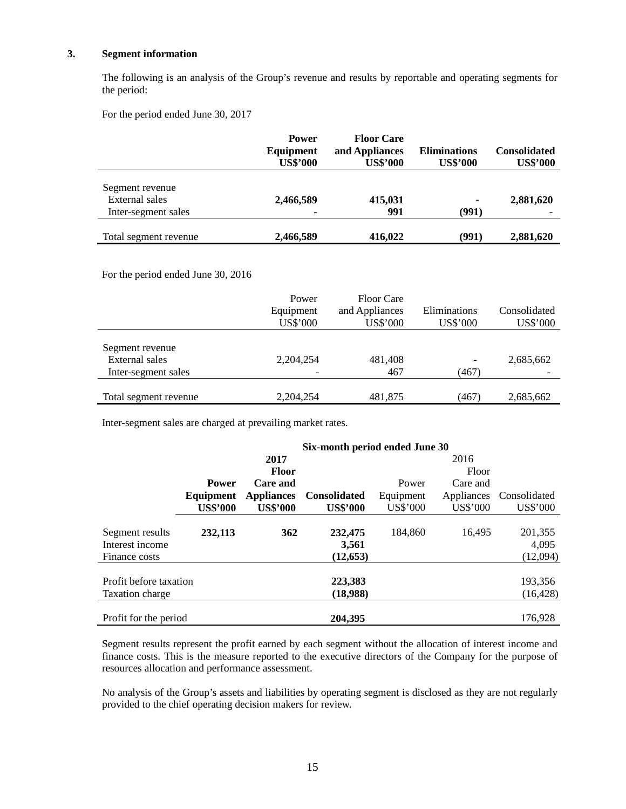#### **3. Segment information**

 The following is an analysis of the Group's revenue and results by reportable and operating segments for the period:

For the period ended June 30, 2017

|                                                          | <b>Power</b><br>Equipment<br><b>US\$'000</b> | <b>Floor Care</b><br>and Appliances<br><b>US\$'000</b> | <b>Eliminations</b><br><b>US\$'000</b> | <b>Consolidated</b><br><b>US\$'000</b> |
|----------------------------------------------------------|----------------------------------------------|--------------------------------------------------------|----------------------------------------|----------------------------------------|
| Segment revenue<br>External sales<br>Inter-segment sales | 2,466,589<br>$\blacksquare$                  | 415,031<br>991                                         | ٠<br>(991)                             | 2,881,620                              |
| Total segment revenue                                    | 2,466,589                                    | 416,022                                                | (991)                                  | 2,881,620                              |

For the period ended June 30, 2016

|                                          | Power<br>Equipment<br>US\$'000 | <b>Floor Care</b><br>and Appliances<br>US\$'000 | Eliminations<br>US\$'000 | Consolidated<br>US\$'000 |
|------------------------------------------|--------------------------------|-------------------------------------------------|--------------------------|--------------------------|
| Segment revenue<br><b>External</b> sales | 2,204,254                      | 481,408                                         |                          | 2,685,662                |
| Inter-segment sales                      |                                | 467                                             | (467)                    |                          |
| Total segment revenue                    | 2,204,254                      | 481.875                                         | (467)                    | 2,685,662                |

Inter-segment sales are charged at prevailing market rates.

|                        | Six-month period ended June 30 |                   |                     |           |            |              |
|------------------------|--------------------------------|-------------------|---------------------|-----------|------------|--------------|
|                        |                                | 2017              |                     |           | 2016       |              |
|                        |                                | <b>Floor</b>      |                     |           | Floor      |              |
|                        | <b>Power</b>                   | Care and          |                     | Power     | Care and   |              |
|                        | Equipment                      | <b>Appliances</b> | <b>Consolidated</b> | Equipment | Appliances | Consolidated |
|                        | <b>US\$'000</b>                | <b>US\$'000</b>   | <b>US\$'000</b>     | US\$'000  | US\$'000   | US\$'000     |
|                        |                                |                   |                     |           |            |              |
| Segment results        | 232,113                        | 362               | 232,475             | 184,860   | 16,495     | 201,355      |
| Interest income        |                                |                   | 3,561               |           |            | 4,095        |
| Finance costs          |                                |                   | (12, 653)           |           |            | (12,094)     |
|                        |                                |                   |                     |           |            |              |
| Profit before taxation |                                |                   | 223,383             |           |            | 193,356      |
| Taxation charge        |                                |                   | (18,988)            |           |            | (16, 428)    |
|                        |                                |                   |                     |           |            |              |
| Profit for the period  |                                |                   | 204,395             |           |            | 176,928      |

Segment results represent the profit earned by each segment without the allocation of interest income and finance costs. This is the measure reported to the executive directors of the Company for the purpose of resources allocation and performance assessment.

No analysis of the Group's assets and liabilities by operating segment is disclosed as they are not regularly provided to the chief operating decision makers for review.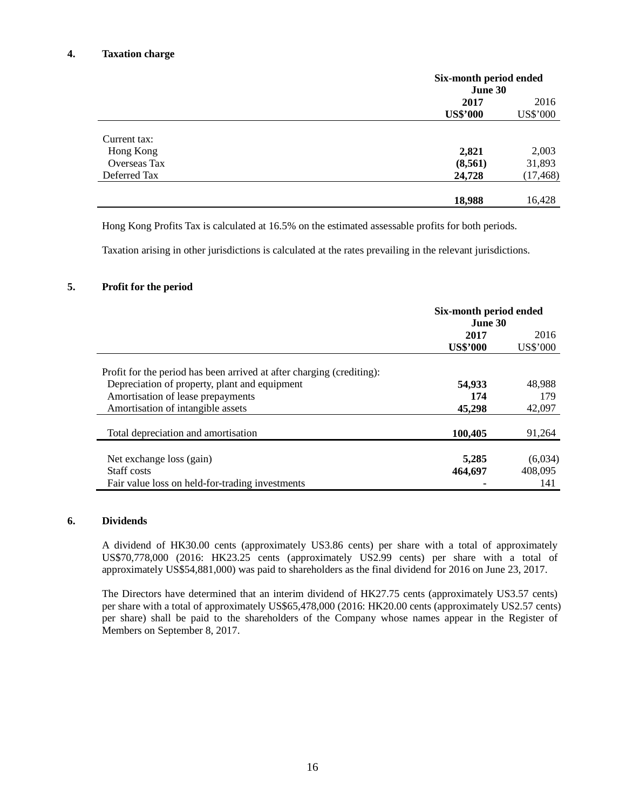#### **4. Taxation charge**

|              |                 | Six-month period ended<br>June 30 |  |  |
|--------------|-----------------|-----------------------------------|--|--|
|              | 2017            | 2016                              |  |  |
|              | <b>US\$'000</b> | US\$'000                          |  |  |
| Current tax: |                 |                                   |  |  |
| Hong Kong    | 2,821           | 2,003                             |  |  |
| Overseas Tax | (8, 561)        | 31,893                            |  |  |
| Deferred Tax | 24,728          | (17, 468)                         |  |  |
|              | 18,988          | 16,428                            |  |  |

Hong Kong Profits Tax is calculated at 16.5% on the estimated assessable profits for both periods.

Taxation arising in other jurisdictions is calculated at the rates prevailing in the relevant jurisdictions.

#### **5. Profit for the period**

|                                                                       | Six-month period ended<br>June 30 |          |
|-----------------------------------------------------------------------|-----------------------------------|----------|
|                                                                       | 2017                              | 2016     |
|                                                                       | <b>US\$'000</b>                   | US\$'000 |
| Profit for the period has been arrived at after charging (crediting): |                                   |          |
| Depreciation of property, plant and equipment                         | 54,933                            | 48,988   |
| Amortisation of lease prepayments                                     | 174                               | 179      |
| Amortisation of intangible assets                                     | 45,298                            | 42,097   |
| Total depreciation and amortisation                                   | 100,405                           | 91,264   |
| Net exchange loss (gain)                                              | 5,285                             | (6,034)  |
| Staff costs                                                           | 464,697                           | 408,095  |
| Fair value loss on held-for-trading investments                       |                                   | 141      |

#### **6. Dividends**

A dividend of HK30.00 cents (approximately US3.86 cents) per share with a total of approximately US\$70,778,000 (2016: HK23.25 cents (approximately US2.99 cents) per share with a total of approximately US\$54,881,000) was paid to shareholders as the final dividend for 2016 on June 23, 2017.

The Directors have determined that an interim dividend of HK27.75 cents (approximately US3.57 cents) per share with a total of approximately US\$65,478,000 (2016: HK20.00 cents (approximately US2.57 cents) per share) shall be paid to the shareholders of the Company whose names appear in the Register of Members on September 8, 2017.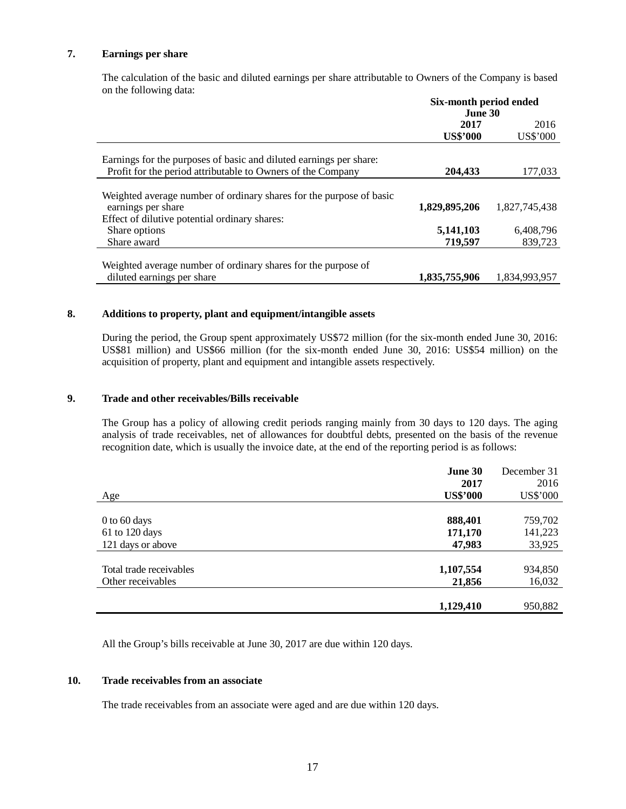# **7. Earnings per share**

The calculation of the basic and diluted earnings per share attributable to Owners of the Company is based on the following data:

|                                                                                                                                   | Six-month period ended<br>June 30 |                      |  |
|-----------------------------------------------------------------------------------------------------------------------------------|-----------------------------------|----------------------|--|
|                                                                                                                                   | 2017<br><b>US\$'000</b>           | 2016<br>US\$'000     |  |
| Earnings for the purposes of basic and diluted earnings per share:<br>Profit for the period attributable to Owners of the Company | 204,433                           | 177,033              |  |
|                                                                                                                                   |                                   |                      |  |
| Weighted average number of ordinary shares for the purpose of basic<br>earnings per share                                         | 1,829,895,206                     | 1.827.745.438        |  |
| Effect of dilutive potential ordinary shares:                                                                                     |                                   |                      |  |
| Share options<br>Share award                                                                                                      | 5,141,103<br>719,597              | 6,408,796<br>839,723 |  |
| Weighted average number of ordinary shares for the purpose of                                                                     |                                   |                      |  |
| diluted earnings per share                                                                                                        | 1,835,755,906                     | 1,834,993,957        |  |

#### **8. Additions to property, plant and equipment/intangible assets**

During the period, the Group spent approximately US\$72 million (for the six-month ended June 30, 2016: US\$81 million) and US\$66 million (for the six-month ended June 30, 2016: US\$54 million) on the acquisition of property, plant and equipment and intangible assets respectively.

#### **9. Trade and other receivables/Bills receivable**

The Group has a policy of allowing credit periods ranging mainly from 30 days to 120 days. The aging analysis of trade receivables, net of allowances for doubtful debts, presented on the basis of the revenue recognition date, which is usually the invoice date, at the end of the reporting period is as follows:

|                         | June 30         | December 31 |
|-------------------------|-----------------|-------------|
|                         | 2017            | 2016        |
| Age                     | <b>US\$'000</b> | US\$'000    |
|                         |                 |             |
| $0$ to 60 days          | 888,401         | 759,702     |
| 61 to 120 days          | 171,170         | 141,223     |
| 121 days or above       | 47,983          | 33,925      |
|                         |                 |             |
| Total trade receivables | 1,107,554       | 934,850     |
| Other receivables       | 21,856          | 16,032      |
|                         |                 |             |
|                         | 1,129,410       | 950,882     |

All the Group's bills receivable at June 30, 2017 are due within 120 days.

# **10. Trade receivables from an associate**

The trade receivables from an associate were aged and are due within 120 days.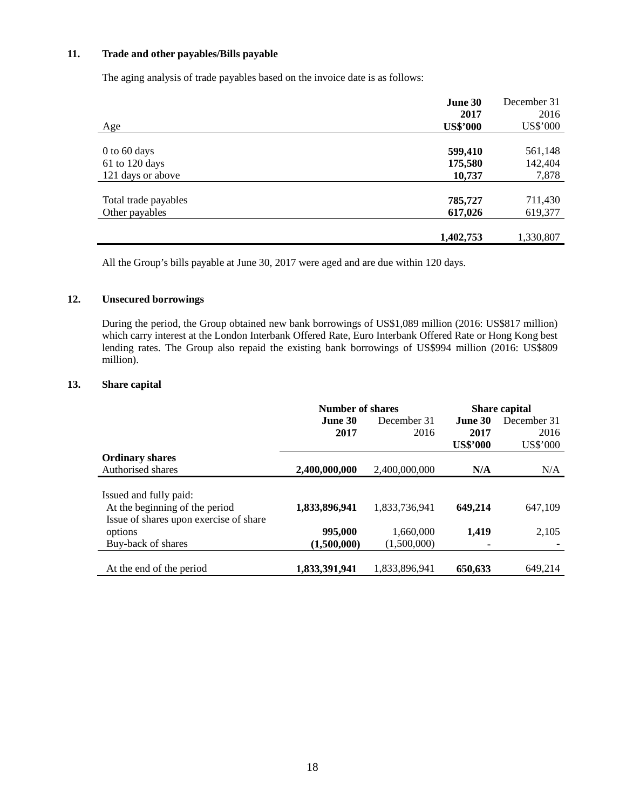# **11. Trade and other payables/Bills payable**

The aging analysis of trade payables based on the invoice date is as follows:

|                      | June 30         | December 31 |
|----------------------|-----------------|-------------|
|                      | 2017            | 2016        |
| Age                  | <b>US\$'000</b> | US\$'000    |
|                      |                 |             |
| $0$ to 60 days       | 599,410         | 561,148     |
| 61 to 120 days       | 175,580         | 142,404     |
| 121 days or above    | 10,737          | 7,878       |
|                      |                 |             |
| Total trade payables | 785,727         | 711,430     |
| Other payables       | 617,026         | 619,377     |
|                      |                 |             |
|                      | 1,402,753       | 1,330,807   |

All the Group's bills payable at June 30, 2017 were aged and are due within 120 days.

# **12. Unsecured borrowings**

During the period, the Group obtained new bank borrowings of US\$1,089 million (2016: US\$817 million) which carry interest at the London Interbank Offered Rate, Euro Interbank Offered Rate or Hong Kong best lending rates. The Group also repaid the existing bank borrowings of US\$994 million (2016: US\$809 million).

#### **13. Share capital**

|                                                                                                    | Number of shares |               | <b>Share capital</b> |             |
|----------------------------------------------------------------------------------------------------|------------------|---------------|----------------------|-------------|
|                                                                                                    | June 30          | December 31   | <b>June 30</b>       | December 31 |
|                                                                                                    | 2017             | 2016          | 2017                 | 2016        |
|                                                                                                    |                  |               | <b>US\$'000</b>      | US\$'000    |
| <b>Ordinary shares</b>                                                                             |                  |               |                      |             |
| Authorised shares                                                                                  | 2,400,000,000    | 2,400,000,000 | N/A                  | N/A         |
| Issued and fully paid:<br>At the beginning of the period<br>Issue of shares upon exercise of share | 1,833,896,941    | 1,833,736,941 | 649,214              | 647,109     |
| options                                                                                            | 995,000          | 1,660,000     | 1,419                | 2,105       |
| Buy-back of shares                                                                                 | (1.500.000)      | (1.500.000)   | ۰                    |             |
| At the end of the period                                                                           | 1,833,391,941    | 1,833,896,941 | 650,633              | 649,214     |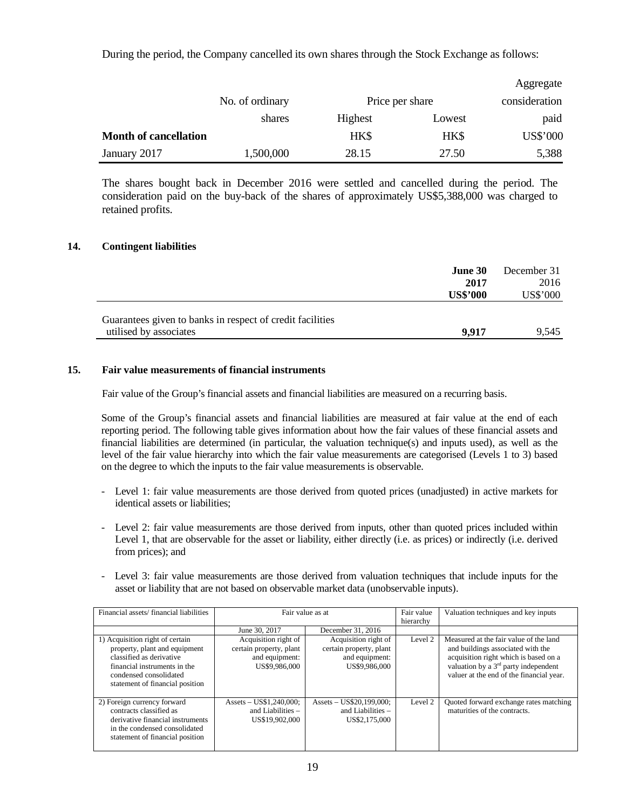During the period, the Company cancelled its own shares through the Stock Exchange as follows:

|                              |                 |         |                 | Aggregate       |
|------------------------------|-----------------|---------|-----------------|-----------------|
|                              | No. of ordinary |         | Price per share |                 |
|                              | shares          | Highest | Lowest          | paid            |
| <b>Month of cancellation</b> |                 | HK\$    | <b>HKS</b>      | <b>US\$'000</b> |
| January 2017                 | 1,500,000       | 28.15   | 27.50           | 5,388           |

The shares bought back in December 2016 were settled and cancelled during the period. The consideration paid on the buy-back of the shares of approximately US\$5,388,000 was charged to retained profits.

#### **14. Contingent liabilities**

|                                                           | <b>June 30</b>  | December 31     |
|-----------------------------------------------------------|-----------------|-----------------|
|                                                           | 2017            | 2016            |
|                                                           | <b>US\$'000</b> | <b>US\$'000</b> |
|                                                           |                 |                 |
| Guarantees given to banks in respect of credit facilities |                 |                 |
| utilised by associates                                    | 9.917           | 9.545           |

#### **15. Fair value measurements of financial instruments**

Fair value of the Group's financial assets and financial liabilities are measured on a recurring basis.

Some of the Group's financial assets and financial liabilities are measured at fair value at the end of each reporting period. The following table gives information about how the fair values of these financial assets and financial liabilities are determined (in particular, the valuation technique(s) and inputs used), as well as the level of the fair value hierarchy into which the fair value measurements are categorised (Levels 1 to 3) based on the degree to which the inputs to the fair value measurements is observable.

- Level 1: fair value measurements are those derived from quoted prices (unadjusted) in active markets for identical assets or liabilities;
- Level 2: fair value measurements are those derived from inputs, other than quoted prices included within Level 1, that are observable for the asset or liability, either directly (i.e. as prices) or indirectly (i.e. derived from prices); and
- Level 3: fair value measurements are those derived from valuation techniques that include inputs for the asset or liability that are not based on observable market data (unobservable inputs).

| Financial assets/financial liabilities                                                                                                                                                    | Fair value as at                                                                   |                                                                                    | Fair value<br>hierarchy | Valuation techniques and key inputs                                                                                                                                                                                  |
|-------------------------------------------------------------------------------------------------------------------------------------------------------------------------------------------|------------------------------------------------------------------------------------|------------------------------------------------------------------------------------|-------------------------|----------------------------------------------------------------------------------------------------------------------------------------------------------------------------------------------------------------------|
|                                                                                                                                                                                           | June 30, 2017                                                                      | December 31, 2016                                                                  |                         |                                                                                                                                                                                                                      |
| 1) Acquisition right of certain<br>property, plant and equipment<br>classified as derivative<br>financial instruments in the<br>condensed consolidated<br>statement of financial position | Acquisition right of<br>certain property, plant<br>and equipment:<br>US\$9,986,000 | Acquisition right of<br>certain property, plant<br>and equipment:<br>US\$9,986,000 | Level 2                 | Measured at the fair value of the land<br>and buildings associated with the<br>acquisition right which is based on a<br>valuation by a 3 <sup>rd</sup> party independent<br>valuer at the end of the financial year. |
| 2) Foreign currency forward<br>contracts classified as<br>derivative financial instruments<br>in the condensed consolidated<br>statement of financial position                            | Assets $-$ US\$1,240,000;<br>and Liabilities $-$<br>US\$19,902,000                 | Assets - US\$20,199,000;<br>and Liabilities $-$<br>US\$2,175,000                   | Level 2                 | Quoted forward exchange rates matching<br>maturities of the contracts.                                                                                                                                               |